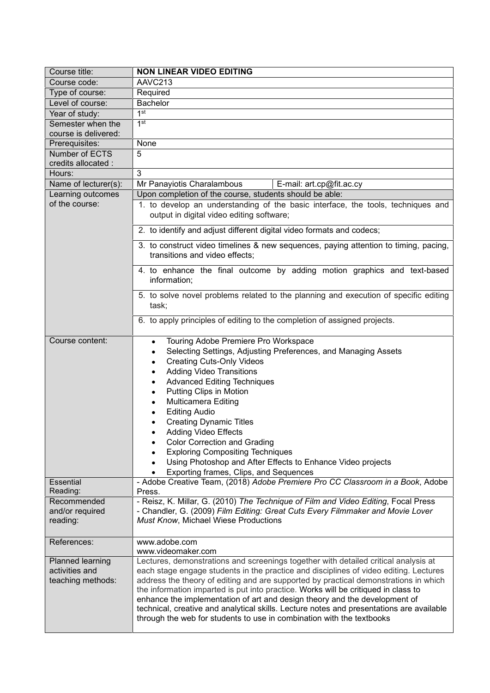| Course title:                                           | <b>NON LINEAR VIDEO EDITING</b>                                                                                                                                                                                                                                                                                                                                                                                                                                                                                                                                                                                                                             |  |  |
|---------------------------------------------------------|-------------------------------------------------------------------------------------------------------------------------------------------------------------------------------------------------------------------------------------------------------------------------------------------------------------------------------------------------------------------------------------------------------------------------------------------------------------------------------------------------------------------------------------------------------------------------------------------------------------------------------------------------------------|--|--|
| Course code:                                            | AAVC213                                                                                                                                                                                                                                                                                                                                                                                                                                                                                                                                                                                                                                                     |  |  |
| Type of course:                                         | Required                                                                                                                                                                                                                                                                                                                                                                                                                                                                                                                                                                                                                                                    |  |  |
| Level of course:                                        | Bachelor                                                                                                                                                                                                                                                                                                                                                                                                                                                                                                                                                                                                                                                    |  |  |
| Year of study:                                          | 1 <sup>st</sup>                                                                                                                                                                                                                                                                                                                                                                                                                                                                                                                                                                                                                                             |  |  |
| Semester when the<br>course is delivered:               | 1st                                                                                                                                                                                                                                                                                                                                                                                                                                                                                                                                                                                                                                                         |  |  |
| Prerequisites:                                          | None                                                                                                                                                                                                                                                                                                                                                                                                                                                                                                                                                                                                                                                        |  |  |
| Number of ECTS<br>credits allocated :                   | 5                                                                                                                                                                                                                                                                                                                                                                                                                                                                                                                                                                                                                                                           |  |  |
| Hours:                                                  | 3                                                                                                                                                                                                                                                                                                                                                                                                                                                                                                                                                                                                                                                           |  |  |
| Name of lecturer(s):                                    | Mr Panayiotis Charalambous<br>E-mail: art.cp@fit.ac.cy                                                                                                                                                                                                                                                                                                                                                                                                                                                                                                                                                                                                      |  |  |
| Learning outcomes                                       | Upon completion of the course, students should be able:                                                                                                                                                                                                                                                                                                                                                                                                                                                                                                                                                                                                     |  |  |
| of the course:                                          | 1. to develop an understanding of the basic interface, the tools, techniques and<br>output in digital video editing software;                                                                                                                                                                                                                                                                                                                                                                                                                                                                                                                               |  |  |
|                                                         | 2. to identify and adjust different digital video formats and codecs;                                                                                                                                                                                                                                                                                                                                                                                                                                                                                                                                                                                       |  |  |
|                                                         | 3. to construct video timelines & new sequences, paying attention to timing, pacing,<br>transitions and video effects;                                                                                                                                                                                                                                                                                                                                                                                                                                                                                                                                      |  |  |
|                                                         | 4. to enhance the final outcome by adding motion graphics and text-based<br>information;                                                                                                                                                                                                                                                                                                                                                                                                                                                                                                                                                                    |  |  |
|                                                         | 5. to solve novel problems related to the planning and execution of specific editing<br>task;                                                                                                                                                                                                                                                                                                                                                                                                                                                                                                                                                               |  |  |
|                                                         | 6. to apply principles of editing to the completion of assigned projects.                                                                                                                                                                                                                                                                                                                                                                                                                                                                                                                                                                                   |  |  |
| Course content:                                         | Touring Adobe Premiere Pro Workspace<br>$\bullet$<br>Selecting Settings, Adjusting Preferences, and Managing Assets<br>$\bullet$<br><b>Creating Cuts-Only Videos</b><br>$\bullet$<br><b>Adding Video Transitions</b><br>$\bullet$<br><b>Advanced Editing Techniques</b><br>$\bullet$<br>Putting Clips in Motion<br>$\bullet$<br><b>Multicamera Editing</b><br>$\bullet$<br><b>Editing Audio</b><br><b>Creating Dynamic Titles</b><br><b>Adding Video Effects</b><br><b>Color Correction and Grading</b><br><b>Exploring Compositing Techniques</b><br>Using Photoshop and After Effects to Enhance Video projects<br>Exporting frames, Clips, and Sequences |  |  |
| Essential<br>Reading:                                   | - Adobe Creative Team, (2018) Adobe Premiere Pro CC Classroom in a Book, Adobe<br>Press.                                                                                                                                                                                                                                                                                                                                                                                                                                                                                                                                                                    |  |  |
| Recommended<br>and/or required<br>reading:              | - Reisz, K. Millar, G. (2010) The Technique of Film and Video Editing, Focal Press<br>- Chandler, G. (2009) Film Editing: Great Cuts Every Filmmaker and Movie Lover<br>Must Know, Michael Wiese Productions                                                                                                                                                                                                                                                                                                                                                                                                                                                |  |  |
| References:                                             | www.adobe.com<br>www.videomaker.com                                                                                                                                                                                                                                                                                                                                                                                                                                                                                                                                                                                                                         |  |  |
| Planned learning<br>activities and<br>teaching methods: | Lectures, demonstrations and screenings together with detailed critical analysis at<br>each stage engage students in the practice and disciplines of video editing. Lectures<br>address the theory of editing and are supported by practical demonstrations in which<br>the information imparted is put into practice. Works will be critiqued in class to<br>enhance the implementation of art and design theory and the development of<br>technical, creative and analytical skills. Lecture notes and presentations are available<br>through the web for students to use in combination with the textbooks                                               |  |  |